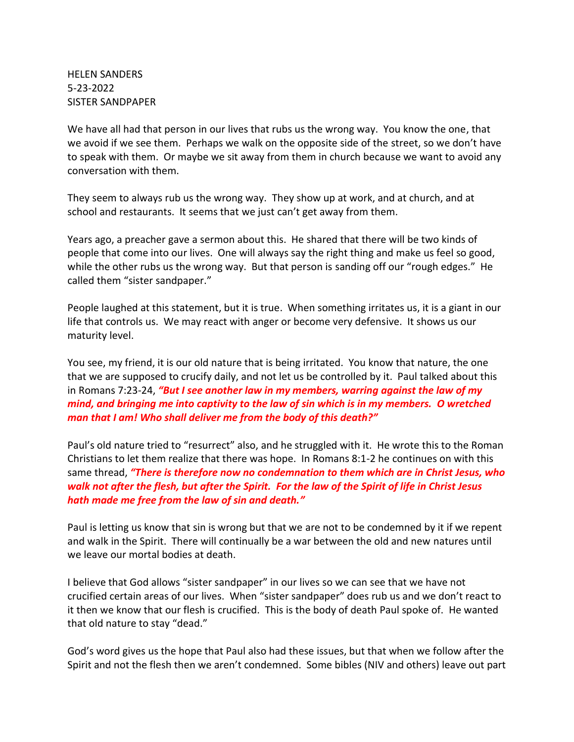HELEN SANDERS 5-23-2022 SISTER SANDPAPER

We have all had that person in our lives that rubs us the wrong way. You know the one, that we avoid if we see them. Perhaps we walk on the opposite side of the street, so we don't have to speak with them. Or maybe we sit away from them in church because we want to avoid any conversation with them.

They seem to always rub us the wrong way. They show up at work, and at church, and at school and restaurants. It seems that we just can't get away from them.

Years ago, a preacher gave a sermon about this. He shared that there will be two kinds of people that come into our lives. One will always say the right thing and make us feel so good, while the other rubs us the wrong way. But that person is sanding off our "rough edges." He called them "sister sandpaper."

People laughed at this statement, but it is true. When something irritates us, it is a giant in our life that controls us. We may react with anger or become very defensive. It shows us our maturity level.

You see, my friend, it is our old nature that is being irritated. You know that nature, the one that we are supposed to crucify daily, and not let us be controlled by it. Paul talked about this in Romans 7:23-24, *"But I see another law in my members, warring against the law of my mind, and bringing me into captivity to the law of sin which is in my members. O wretched man that I am! Who shall deliver me from the body of this death?"*

Paul's old nature tried to "resurrect" also, and he struggled with it. He wrote this to the Roman Christians to let them realize that there was hope. In Romans 8:1-2 he continues on with this same thread, *"There is therefore now no condemnation to them which are in Christ Jesus, who walk not after the flesh, but after the Spirit. For the law of the Spirit of life in Christ Jesus hath made me free from the law of sin and death."*

Paul is letting us know that sin is wrong but that we are not to be condemned by it if we repent and walk in the Spirit. There will continually be a war between the old and new natures until we leave our mortal bodies at death.

I believe that God allows "sister sandpaper" in our lives so we can see that we have not crucified certain areas of our lives. When "sister sandpaper" does rub us and we don't react to it then we know that our flesh is crucified. This is the body of death Paul spoke of. He wanted that old nature to stay "dead."

God's word gives us the hope that Paul also had these issues, but that when we follow after the Spirit and not the flesh then we aren't condemned. Some bibles (NIV and others) leave out part